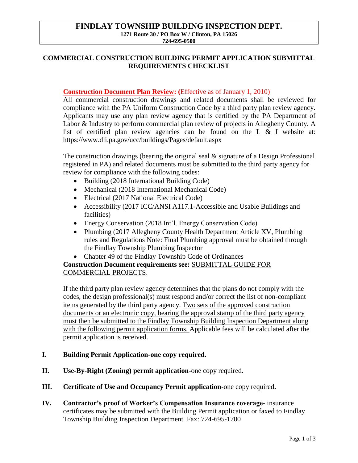# **FINDLAY TOWNSHIP BUILDING INSPECTION DEPT. 1271 Route 30 / PO Box W / Clinton, PA 15026**

**724-695-0500**

### **COMMERCIAL CONSTRUCTION BUILDING PERMIT APPLICATION SUBMITTAL REQUIREMENTS CHECKLIST**

### **Construction Document Plan Review:** (Effective as of January 1, 2010)

All commercial construction drawings and related documents shall be reviewed for compliance with the PA Uniform Construction Code by a third party plan review agency. Applicants may use any plan review agency that is certified by the PA Department of Labor & Industry to perform commercial plan review of projects in Allegheny County. A list of certified plan review agencies can be found on the L & I website at: https://www.dli.pa.gov/ucc/buildings/Pages/default.aspx

The construction drawings (bearing the original seal  $\&$  signature of a Design Professional registered in PA) and related documents must be submitted to the third party agency for review for compliance with the following codes:

- Building (2018 International Building Code)
- Mechanical (2018 International Mechanical Code)
- Electrical (2017 National Electrical Code)
- Accessibility (2017 ICC/ANSI A117.1-Accessible and Usable Buildings and facilities)
- Energy Conservation (2018 Int'l. Energy Conservation Code)
- Plumbing (2017 Allegheny County Health Department Article XV, Plumbing rules and Regulations Note: Final Plumbing approval must be obtained through the Findlay Township Plumbing Inspector
- Chapter 49 of the Findlay Township Code of Ordinances

## **Construction Document requirements see:** SUBMITTAL GUIDE FOR COMMERCIAL PROJECTS.

If the third party plan review agency determines that the plans do not comply with the codes, the design professional(s) must respond and/or correct the list of non-compliant items generated by the third party agency. Two sets of the approved construction documents or an electronic copy, bearing the approval stamp of the third party agency must then be submitted to the Findlay Township Building Inspection Department along with the following permit application forms. Applicable fees will be calculated after the permit application is received.

#### **I. Building Permit Application-one copy required.**

- **II. Use-By-Right (Zoning) permit application**-one copy required**.**
- **III. Certificate of Use and Occupancy Permit application-**one copy required**.**
- **IV. Contractor's proof of Worker's Compensation Insurance coverage** insurance certificates may be submitted with the Building Permit application or faxed to Findlay Township Building Inspection Department. Fax: 724-695-1700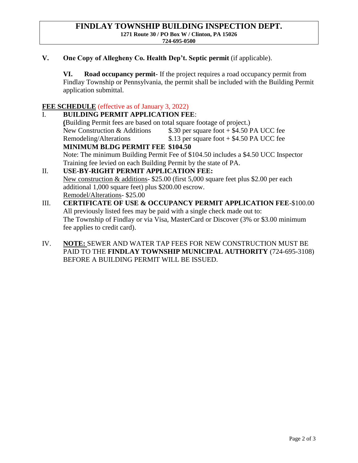**V. One Copy of Allegheny Co. Health Dep't. Septic permit** (if applicable).

**VI. Road occupancy permit-** If the project requires a road occupancy permit from Findlay Township or Pennsylvania, the permit shall be included with the Building Permit application submittal.

### **FEE SCHEDULE** (effective as of January 3, 2022)

I. **BUILDING PERMIT APPLICATION FEE**: **(**Building Permit fees are based on total square footage of project.) New Construction  $&$  Additions  $\qquad$  \$.30 per square foot + \$4.50 PA UCC fee Remodeling/Alterations  $$.13$  per square foot  $+ $4.50$  PA UCC fee **MINIMUM BLDG PERMIT FEE \$104.50** Note: The minimum Building Permit Fee of \$104.50 includes a \$4.50 UCC Inspector Training fee levied on each Building Permit by the state of PA. II. **USE-BY-RIGHT PERMIT APPLICATION FEE:** New construction & additions- \$25.00 (first 5,000 square feet plus \$2.00 per each additional 1,000 square feet) plus \$200.00 escrow.

Remodel/Alterations- \$25.00

- III. **CERTIFICATE OF USE & OCCUPANCY PERMIT APPLICATION FEE**-\$100.00 All previously listed fees may be paid with a single check made out to: The Township of Findlay or via Visa, MasterCard or Discover (3% or \$3.00 minimum fee applies to credit card).
- IV. **NOTE:** SEWER AND WATER TAP FEES FOR NEW CONSTRUCTION MUST BE PAID TO THE **FINDLAY TOWNSHIP MUNICIPAL AUTHORITY** (724-695-3108) BEFORE A BUILDING PERMIT WILL BE ISSUED.